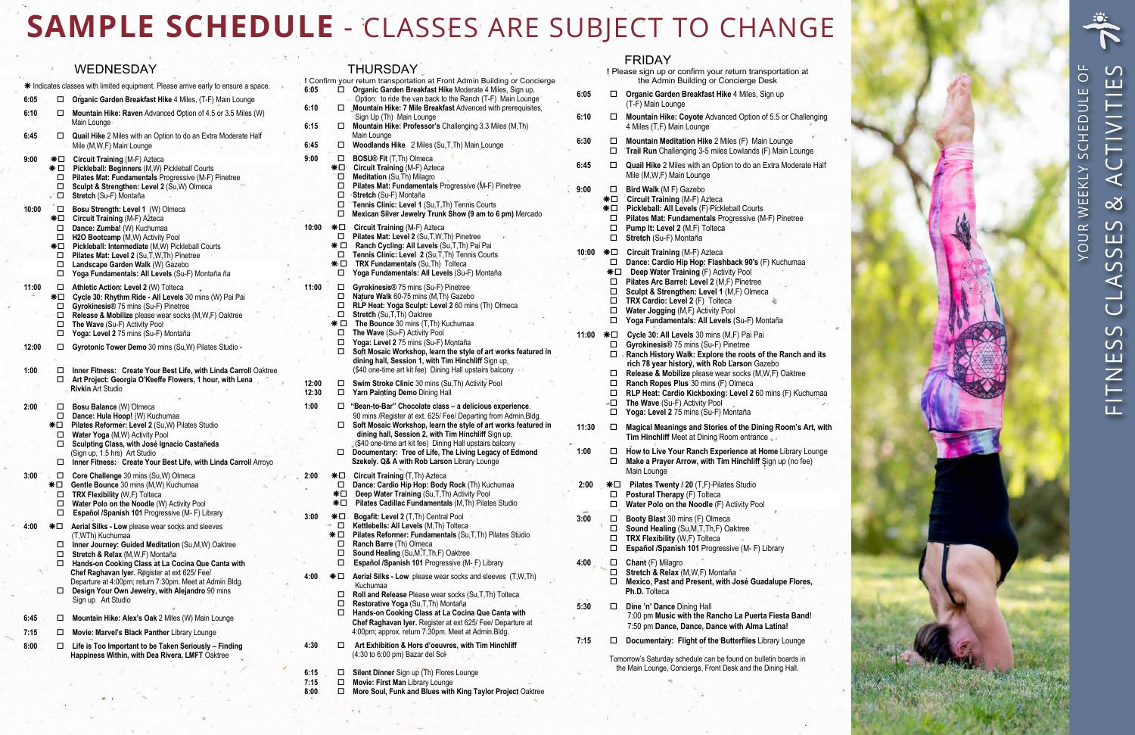

|       |                                  | <b>WEDNESDAY</b>                                                                                                                                                                                                                                                                     |                      |                                     | <b>THURSDAY</b>                                                                                                                                                                                                                                          |                           |                             | <b>FRIDAY</b><br>! Please sign up or confirm your return transportation at                                                                                                                                                                               |
|-------|----------------------------------|--------------------------------------------------------------------------------------------------------------------------------------------------------------------------------------------------------------------------------------------------------------------------------------|----------------------|-------------------------------------|----------------------------------------------------------------------------------------------------------------------------------------------------------------------------------------------------------------------------------------------------------|---------------------------|-----------------------------|----------------------------------------------------------------------------------------------------------------------------------------------------------------------------------------------------------------------------------------------------------|
|       |                                  | * Indicates classes with limited equipment. Please arrive early to ensure a space.                                                                                                                                                                                                   | 6:05                 |                                     | ! Confirm your return transportation at Front Admin Building or Concierge<br>Organic Garden Breakfast Hike Moderate 4 Miles, Sign up,                                                                                                                    |                           |                             | the Admin Building or Concierge Desk                                                                                                                                                                                                                     |
| 6:05  |                                  | □ Organic Garden Breakfast Hike 4 Miles, (T-F) Main Lounge                                                                                                                                                                                                                           |                      |                                     | Option: to ride the van back to the Ranch (T-F) Main Lounge                                                                                                                                                                                              | 6:05                      |                             | □ Organic Garden Breakfast Hike 4 Miles, Sign up<br>(T-F) Main Lounge                                                                                                                                                                                    |
| 6:10  | □                                | Mountain Hike: Raven Advanced Option of 4.5 or 3.5 Miles (W)<br>Main Lounge                                                                                                                                                                                                          | 6:10<br>6:15         |                                     | Mountain Hike: 7 Mile Breakfast Advanced with prerequisites,<br>Sign Up (Th) Main Lounge<br>Mountain Hike: Professor's Challenging 3.3 Miles (M,Th)                                                                                                      | 6:10                      |                             | Mountain Hike: Coyote Advanced Option of 5.5 or Challenging<br>4 Miles (T,F) Main Lounge                                                                                                                                                                 |
| 6:45  | □                                | Quail Hike 2 Miles with an Option to do an Extra Moderate Half<br>Mile (M,W,F) Main Lounge                                                                                                                                                                                           | 6:45                 |                                     | Main Lounge<br>Woodlands Hike 2 Miles (Su, T, Th) Main Lounge                                                                                                                                                                                            | 6:30                      | □<br>□                      | Mountain Meditation Hike 2 Miles (F) Main Lounge<br>Trail Run Challenging 3-5 miles Lowlands (F) Main Lounge                                                                                                                                             |
| 9:00  | *⊡<br>* □<br>□<br>□              | Circuit Training (M-F) Azteca<br>Pickleball: Beginners (M,W) Pickleball Courts<br>Pilates Mat: Fundamentals Progressive (M-F) Pinetree<br>Sculpt & Strengthen: Level 2 (Su, W) Olmeca                                                                                                | 9:00                 | □                                   | <b>BOSU® Fit (T,Th) Olmeca</b><br>*□ Circuit Training (M-F) Azteca<br>Meditation (Su, Th) Milagro<br>Pilates Mat: Fundamentals Progressive (M-F) Pinetree                                                                                                | 6:45<br>9:00              | ņП,                         | Quail Hike 2 Miles with an Option to do an Extra Moderate Half<br>Mile (M, W, F) Main Lounge<br>Bird Walk (M F) Gazebo                                                                                                                                   |
| 10:00 | $\sqrt{2}$<br>$\Box$<br>*⊡<br>□  | Stretch (Su-F) Montaña<br>Bosu Strength: Level 1 (W) Olmeca<br>Circuit Training (M-F) Azteca<br>Dance: Zumba! (W) Kuchumaa                                                                                                                                                           | 10:00                | □<br>□<br>□<br>*⊡                   | -Stretch (Su-F) Montaña<br>Tennis Clinic: Level 1 (Su, T, Th) Tennis Courts<br>Mexican Silver Jewelry Trunk Show (9 am to 6 pm) Mercado<br><b>Circuit Training (M-F) Azteca</b>                                                                          |                           | ∗⊟<br>∗⊡<br>□<br>□          | Circuit Training (M-F) Azteca<br>Pickleball: All Levels (F) Pickleball Courts<br>Pilates Mat: Fundamentals Progressive (M-F) Pinetree<br>Pump It: Level 2 (M.F) Tolteca                                                                                  |
|       | □<br>*⊡<br>□<br>□                | H2O Bootcamp (M,W) Activity Pool<br>Pickleball: Intermediate (M,W) Pickleball Courts<br>Pilates Mat: Level 2 (Su, T, W, Th) Pinetree<br>Landscape Garden Walk (W) Gazebo                                                                                                             |                      | * □<br>□<br>$*$ $\Box$              | Pilates Mat: Level 2 (Su, T, W, Th) Pinetree<br>Ranch Cycling: All Levels (Su, T, Th) Pai Pai<br>Tennis Clinic: Level 2 (Su, T, Th) Tennis Courts<br>TRX Fundamentals (Su, Th) Tolteca                                                                   | 10:00 $\textbf{*}\square$ | $\Box$<br>□                 | Stretch (Su-F) Montaña<br>Circuit Training (M-F) Azteca<br>Dance: Cardio Hip Hop: Flashback 90's (F) Kuchumaa                                                                                                                                            |
| 11:00 | $\Box$<br>0<br>*⊡<br>□<br>□<br>□ | Yoga Fundamentals: All Levels (Su-F) Montaña ña<br>Athletic Action: Level 2 (W) Tolteca<br>Cycle 30: Rhythm Ride - All Levels 30 mins (W) Pai Pai<br>Gyrokinesis® 75 mins (Su-F) Pinetree<br>Release & Mobilize please wear socks (M, W, F) Oaktree<br>The Wave (Su-F) Activity Pool | 11:00                | П.<br>Π.<br>□<br>□<br>$\Box$<br>* □ | Yoga Fundamentals: All Levels (Su-F) Montaña<br>Gyrokinesis® 75 mins (Su-F) Pinetree<br>Nature Walk 60-75 mins (M, Th) Gazebo<br>RLP Heat: Yoga Sculpt: Level 2 60 mins (Th) Olmeca<br>Stretch (Su, T, Th) Oaktree<br>The Bounce 30 mins (T,Th) Kuchumaa |                           | ∗⊟<br>□<br>□<br>□<br>□<br>□ | Deep Water Training (F) Activity Pool<br>Pilates Arc Barrel: Level 2 (M,F) Pinetree<br>Sculpt & Strengthen: Level 1 (M,F) Olmeca<br>TRX Cardio: Level 2 (F) Tolteca<br>Water Jogging (M,F) Activity Pool<br>Yoga Fundamentals: All Levels (Su-F) Montaña |
| 12:00 | $\Box$<br>$\Box$                 | Yoga: Level 2 75 mins (Su-F) Montaña<br>Gyrotonic Tower Demo 30 mins (Su, W) Pilates Studio -                                                                                                                                                                                        |                      | □<br>□<br>□                         | The Wave (Su-F) Activity Pool<br>Yoga: Level 2 75 mins (Su-F) Montaña<br>Soft Mosaic Workshop, learn the style of art works featured in                                                                                                                  |                           | □                           | Cycle 30: All Levels 30 mins (M,F) Pai Pai<br>Gyrokinesis® 75 mins (Su-F) Pinetree                                                                                                                                                                       |
| 1:00  | □<br>□                           | Inner Fitness: Create Your Best Life, with Linda Carroll Oaktree<br>Art Project: Georgia O'Keeffe Flowers, 1 hour, with Lena                                                                                                                                                         | 12:00                |                                     | dining hall, Session 1, with Tim Hinchliff Sign up,<br>(\$40 one-time art kit fee) Dining Hall upstairs balcony<br>Swim Stroke Clinic 30 mins (Su, Th) Activity Pool                                                                                     |                           | □<br>□<br>□                 | Ranch History Walk: Explore the roots of the Ranch and its<br>rich 78 year history, with Rob Larson Gazebo<br>Release & Mobilize please wear socks (M,W,F) Oaktree<br>Ranch Ropes Plus 30 mins (F) Olmeca                                                |
| 2:00  | □                                | <b>Rivkin Art Studio</b><br>Bosu Balance (W) Olmeca                                                                                                                                                                                                                                  | 12:30<br>1:00        | $\Box$                              | Yarn Painting Demo Dining Hall<br>□ "Bean-to-Bar" Chocolate class - a delicious experience.<br>90 mins /Register at ext. 625/ Fee/ Departing from Admin.Bldg.                                                                                            |                           | □<br>$\omega$ .<br>□        | RLP Heat: Cardio Kickboxing: Level 2 60 mins (F) Kuchumaa<br>The Wave (Su-F) Activity Pool<br>Yoga: Level 2 75 mins (Su-F) Montaña                                                                                                                       |
|       | □<br>∗⊟<br>□<br>□                | Dance: Hula Hoop! (W) Kuchumaa<br>Pilates Reformer: Level 2 (Su, W) Pilates Studio<br>Water Yoga (M,W) Activity Pool<br>Sculpting Class, with José Ignacio Castañeda                                                                                                                 |                      | $\Box$                              | Soft Mosaic Workshop, learn the style of art works featured in<br>dining hall, Session 2, with Tim Hinchliff Sign up,<br>(\$40 one-time art kit fee) Dining Hall upstairs balcony                                                                        | 11:30                     | O                           | Magical Meanings and Stories of the Dining Room's Art, with<br>Tim Hinchliff Meet at Dining Room entrance.                                                                                                                                               |
|       |                                  | (Sign up, 1.5 hrs) Art Studio<br>□ Inner Fitness: Create Your Best Life, with Linda Carroll Arroyo                                                                                                                                                                                   |                      |                                     | Documentary: Tree of Life, The Living Legacy of Edmond<br>Szekely. Q& A with Rob Larson Library Lounge                                                                                                                                                   | 1:00                      | □<br>□                      | How to Live Your Ranch Experience at Home Library Lounge<br>Make a Prayer Arrow, with Tim Hinchliff Sign up (no fee)<br>Main Lounge                                                                                                                      |
| 3:00  | *⊡<br>□<br>□<br>□                | Core Challenge 30 mins (Su, W) Olmeca<br>Gentle Bounce 30 mins (M,W) Kuchumaa<br>TRX Flexibility (W,F) Tolteca<br>Water Polo on the Noodle (W) Activity Pool<br>Español /Spanish 101 Progressive (M-F) Library                                                                       | 2:00                 | 0<br>∗⊟<br>*⊡                       | <b>*□</b> Circuit Training (T, Th) Azteca<br>Dance: Cardio Hip Hop: Body Rock (Th) Kuchumaa<br>Deep Water Training (Su, T, Th) Activity Pool<br>Pilates Cadillac Fundamentals (M,Th) Pilates Studio                                                      | 2:00                      | *⊡<br>□<br>□                | Pilates Twenty / 20 (T,F) Pilates Studio<br>Postural Therapy (F) Tolteca<br>Water Polo on the Noodle (F) Activity Pool                                                                                                                                   |
| 4:00  | *⊡<br>□<br>□                     | Aerial Silks - Low please wear socks and sleeves<br>(T.WTh) Kuchumaa<br>Inner Journey: Guided Meditation (Su, M, W) Oaktree<br>Stretch & Relax (M, W, F) Montaña                                                                                                                     | 3:00                 | $*$ $\square$<br>* □<br>□<br>□      | Bogafit: Level 2 (T, Th) Central Pool<br>Kettlebells: All Levels (M, Th) Tolteca<br>Pilates Reformer: Fundamentals (Su,T,Th) Pilates Studio<br>Ranch Barre (Th) Olmeca<br>Sound Healing (Su, M, T, Th, F) Oaktree                                        | 3:00                      | □<br>□<br>□<br>□            | Booty Blast 30 mins (F) Olmeca<br>Sound Healing (Su, M, T, Th, F) Oaktree<br>TRX Flexibility (W,F) Tolteca<br>Español /Spanish 101 Progressive (M-F) Library                                                                                             |
|       |                                  | □ Hands-on Cooking Class at La Cocina Que Canta with<br>Chef Raghavan Iyer. Register at ext 625/ Fee/<br>Departure at 4:00pm; return 7:30pm. Meet at Admin Bldg.                                                                                                                     | 4:00                 | □<br>* □                            | Español /Spanish 101 Progressive (M-F) Library<br>Aerial Silks - Low please wear socks and sleeves (T,W,Th)<br>Kuchumaa                                                                                                                                  | 4:00                      | $\Box$<br>□<br>□            | <b>Chant</b> (F) Milagro<br>Stretch & Relax (M, W, F) Montaña<br>Mexico, Past and Present, with José Guadalupe Flores,                                                                                                                                   |
| 6:45  | □                                | Design Your Own Jewelry, with Alejandro 90 mins<br>Sign up Art Studio<br>Mountain Hike: Alex's Oak 2 Miles (W) Main Lounge                                                                                                                                                           |                      | □<br>□<br>□                         | Roll and Release Please wear socks (Su,T,Th) Tolteca<br>Restorative Yoga (Su, T, Th) Montaña<br>Hands-on Cooking Class at La Cocina Que Canta with                                                                                                       | 5:30                      | $\Box$                      | Ph.D. Tolteca<br>Dine 'n' Dance Dining Hall<br>7:00 pm Music with the Rancho La Puerta Fiesta Band!                                                                                                                                                      |
| 7:15  | □                                | Movie: Marvel's Black Panther Library Lounge                                                                                                                                                                                                                                         |                      |                                     | Chef Raghavan Iyer. Register at ext 625/ Fee/ Departure at<br>4:00pm; approx. return 7:30pm. Meet at Admin.Bldg.                                                                                                                                         |                           |                             | 7:50 pm Dance, Dance, Dance with Alma Latina!                                                                                                                                                                                                            |
| 8:00  |                                  | $\Box$ Life is Too Important to be Taken Seriously - Finding<br>Happiness Within, with Dea Rivera, LMFT Oaktree                                                                                                                                                                      | 4:30                 | 0                                   | Art Exhibition & Hors d'oeuvres, with Tim Hinchliff<br>(4:30 to 6:00 pm) Bazar del Sol                                                                                                                                                                   | 7:15                      | □                           | Documentary: Flight of the Butterflies Library Lounge<br>Tomorrow's Saturday schedule can be found on bulletin boards in                                                                                                                                 |
|       |                                  |                                                                                                                                                                                                                                                                                      | 6:15<br>7:15<br>8:00 | $\Box$<br>□                         | Silent Dinner Sign up (Th) Flores Lounge<br>Movie: First Man Library Lounge<br>□ More Soul, Funk and Blues with King Taylor Project Oaktree                                                                                                              |                           |                             | the Main Lounge, Concierge, Front Desk and the Dining Hall.                                                                                                                                                                                              |

# **SAMPLE SCHEDULE** - CLASSES ARE SUBJECT TO CHANGE